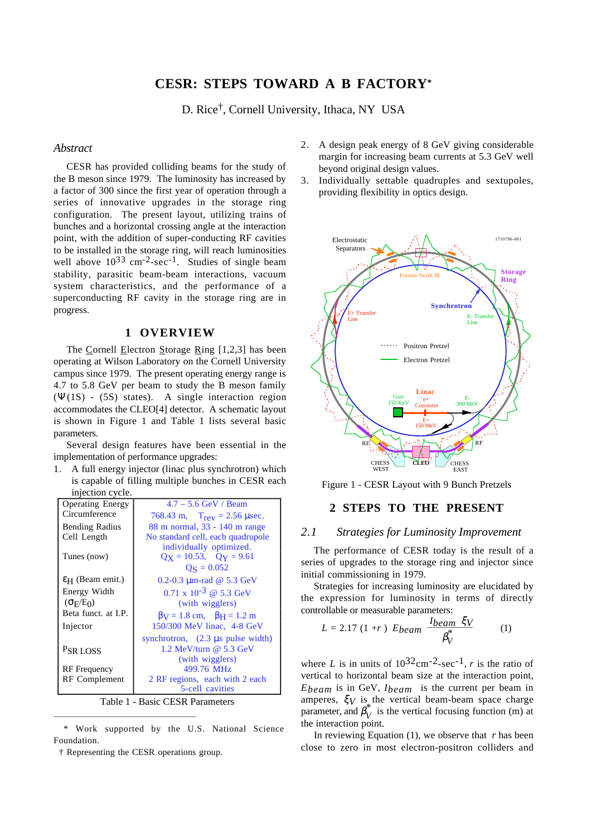# **CESR: STEPS TOWARD A B FACTORY\***

D. Rice†, Cornell University, Ithaca, NY USA

## *Abstract*

CESR has provided colliding beams for the study of the B meson since 1979. The luminosity has increased by a factor of 300 since the first year of operation through a series of innovative upgrades in the storage ring configuration. The present layout, utilizing trains of bunches and a horizontal crossing angle at the interaction point, with the addition of super-conducting RF cavities to be installed in the storage ring, will reach luminosities well above  $10^{33}$  cm<sup>-2</sup>-sec<sup>-1</sup>. Studies of single beam stability, parasitic beam-beam interactions, vacuum system characteristics, and the performance of a superconducting RF cavity in the storage ring are in progress.

## **1 OVERVIEW**

The Cornell Electron Storage Ring  $[1,2,3]$  has been operating at Wilson Laboratory on the Cornell University campus since 1979. The present operating energy range is 4.7 to 5.8 GeV per beam to study the B meson family (Ψ(1S) - (5S) states). A single interaction region accommodates the CLEO[4] detector. A schematic layout is shown in Figure 1 and Table 1 lists several basic parameters.

Several design features have been essential in the implementation of performance upgrades:

1. A full energy injector (linac plus synchrotron) which is capable of filling multiple bunches in CESR each injection cycle.

| <b>Operating Energy</b>         | $4.7 - 5.6$ GeV / Beam                                       |  |
|---------------------------------|--------------------------------------------------------------|--|
| Circumference                   | 768.43 m, $T_{rev} = 2.56 \,\mu \text{sec}$ .                |  |
| <b>Bending Radius</b>           | 88 m normal, 33 - 140 m range                                |  |
| Cell Length                     | No standard cell, each quadrupole                            |  |
|                                 | individually optimized.                                      |  |
| Tunes (now)                     | $Qx = 10.53$ , $Qy = 9.61$                                   |  |
|                                 | $\text{Q}_\text{S} = 0.052$                                  |  |
| $\epsilon$ H (Beam emit.)       | 0.2-0.3 $\mu$ m-rad @ 5.3 GeV                                |  |
| Energy Width                    | $0.71 \times 10^{-3}$ @ 5.3 GeV                              |  |
| $(\sigma_E/E_0)$                | (with wigglers)                                              |  |
| Beta funct. at I.P.             | $\beta$ V = 1.8 cm, $\beta$ H = 1.2 m                        |  |
| Injector                        | 150/300 MeV linac, 4-8 GeV                                   |  |
|                                 | synchrotron, $(2.3 \text{ }\mu\text{s} \text{ pulse width})$ |  |
| PSR LOSS                        | 1.2 MeV/turn $@$ 5.3 GeV                                     |  |
|                                 | (with wigglers)                                              |  |
| <b>RF</b> Frequency             | 499.76 MHz                                                   |  |
| RF Complement                   | 2 RF regions, each with 2 each                               |  |
|                                 | 5-cell cavities                                              |  |
| Table 1 - Basic CESR Parameters |                                                              |  |

 \* Work supported by the U.S. National Science Foundation.

† Representing the CESR operations group.

- 2. A design peak energy of 8 GeV giving considerable margin for increasing beam currents at 5.3 GeV well beyond original design values.
- 3. Individually settable quadruples and sextupoles, providing flexibility in optics design.



Figure 1 - CESR Layout with 9 Bunch Pretzels

## **2 STEPS TO THE PRESENT**

## *2.1 Strategies for Luminosity Improvement*

The performance of CESR today is the result of a series of upgrades to the storage ring and injector since initial commissioning in 1979.

Strategies for increasing luminosity are elucidated by the expression for luminosity in terms of directly controllable or measurable parameters:

$$
L = 2.17 (1+r) Ebeam \frac{Ibeam \ \xi V}{\beta_V^*}
$$
 (1)

where *L* is in units of  $10^{32}$ cm<sup>-2</sup>-sec<sup>-1</sup>, *r* is the ratio of vertical to horizontal beam size at the interaction point, *Ebeam* is in GeV, *Ibeam* is the current per beam in amperes,  $\zeta_V$  is the vertical beam-beam space charge parameter, and  $\beta_V^*$  is the vertical focusing function (m) at the interaction point.

In reviewing Equation (1), we observe that *r* has been close to zero in most electron-positron colliders and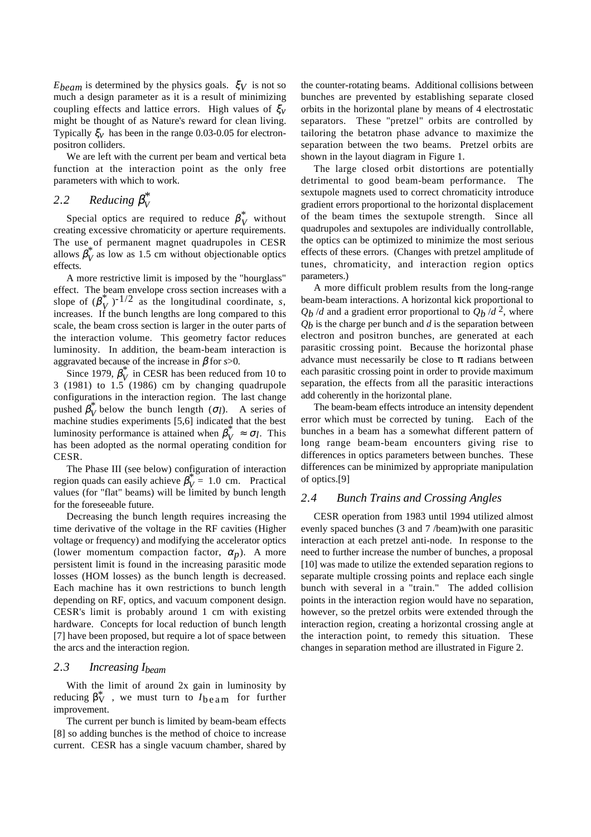*Ebeam* is determined by the physics goals. ξ*V* is not so much a design parameter as it is a result of minimizing coupling effects and lattice errors. High values of ξ*v* might be thought of as Nature's reward for clean living. Typically  $\xi_v$  has been in the range 0.03-0.05 for electronpositron colliders.

We are left with the current per beam and vertical beta function at the interaction point as the only free parameters with which to work.

# 2.2 Reducing  $\beta_V^*$

Special optics are required to reduce  $\beta_V^*$  without creating excessive chromaticity or aperture requirements. The use of permanent magnet quadrupoles in CESR allows  $\beta_V^*$  as low as 1.5 cm without objectionable optics effects.

A more restrictive limit is imposed by the "hourglass" effect. The beam envelope cross section increases with a slope of  $(\beta_V^*)^{-1/2}$  as the longitudinal coordinate, *s*, increases. If the bunch lengths are long compared to this scale, the beam cross section is larger in the outer parts of the interaction volume. This geometry factor reduces luminosity. In addition, the beam-beam interaction is aggravated because of the increase in  $\beta$  for *s*>0.

Since 1979,  $\beta_V^*$  in CESR has been reduced from 10 to 3 (1981) to  $1.5$  (1986) cm by changing quadrupole configurations in the interaction region. The last change pushed  $\beta_V^*$  below the bunch length ( $\sigma_l$ ). A series of machine studies experiments [5,6] indicated that the best luminosity performance is attained when  $\beta_V^* \approx \sigma_l$ . This has been adopted as the normal operating condition for CESR.

The Phase III (see below) configuration of interaction region quads can easily achieve  $\beta_V^* = 1.0$  cm. Practical values (for "flat" beams) will be limited by bunch length for the foreseeable future.

Decreasing the bunch length requires increasing the time derivative of the voltage in the RF cavities (Higher voltage or frequency) and modifying the accelerator optics (lower momentum compaction factor,  $\alpha_p$ ). A more persistent limit is found in the increasing parasitic mode losses (HOM losses) as the bunch length is decreased. Each machine has it own restrictions to bunch length depending on RF, optics, and vacuum component design. CESR's limit is probably around 1 cm with existing hardware. Concepts for local reduction of bunch length [7] have been proposed, but require a lot of space between the arcs and the interaction region.

## *2.3 Increasing Ibeam*

With the limit of around 2x gain in luminosity by reducing  $\beta_V^*$ , we must turn to  $I_{\text{beam}}$  for further improvement.

The current per bunch is limited by beam-beam effects [8] so adding bunches is the method of choice to increase current. CESR has a single vacuum chamber, shared by the counter-rotating beams. Additional collisions between bunches are prevented by establishing separate closed orbits in the horizontal plane by means of 4 electrostatic separators. These "pretzel" orbits are controlled by tailoring the betatron phase advance to maximize the separation between the two beams. Pretzel orbits are shown in the layout diagram in Figure 1.

The large closed orbit distortions are potentially detrimental to good beam-beam performance. The sextupole magnets used to correct chromaticity introduce gradient errors proportional to the horizontal displacement of the beam times the sextupole strength. Since all quadrupoles and sextupoles are individually controllable, the optics can be optimized to minimize the most serious effects of these errors. (Changes with pretzel amplitude of tunes, chromaticity, and interaction region optics parameters.)

A more difficult problem results from the long-range beam-beam interactions. A horizontal kick proportional to  $Q_b$  /*d* and a gradient error proportional to  $Q_b$  /*d* <sup>2</sup>, where *Qb* is the charge per bunch and *d* is the separation between electron and positron bunches, are generated at each parasitic crossing point. Because the horizontal phase advance must necessarily be close to  $\pi$  radians between each parasitic crossing point in order to provide maximum separation, the effects from all the parasitic interactions add coherently in the horizontal plane.

The beam-beam effects introduce an intensity dependent error which must be corrected by tuning. Each of the bunches in a beam has a somewhat different pattern of long range beam-beam encounters giving rise to differences in optics parameters between bunches. These differences can be minimized by appropriate manipulation of optics.[9]

## *2.4 Bunch Trains and Crossing Angles*

CESR operation from 1983 until 1994 utilized almost evenly spaced bunches (3 and 7 /beam)with one parasitic interaction at each pretzel anti-node. In response to the need to further increase the number of bunches, a proposal [10] was made to utilize the extended separation regions to separate multiple crossing points and replace each single bunch with several in a "train." The added collision points in the interaction region would have no separation, however, so the pretzel orbits were extended through the interaction region, creating a horizontal crossing angle at the interaction point, to remedy this situation. These changes in separation method are illustrated in Figure 2.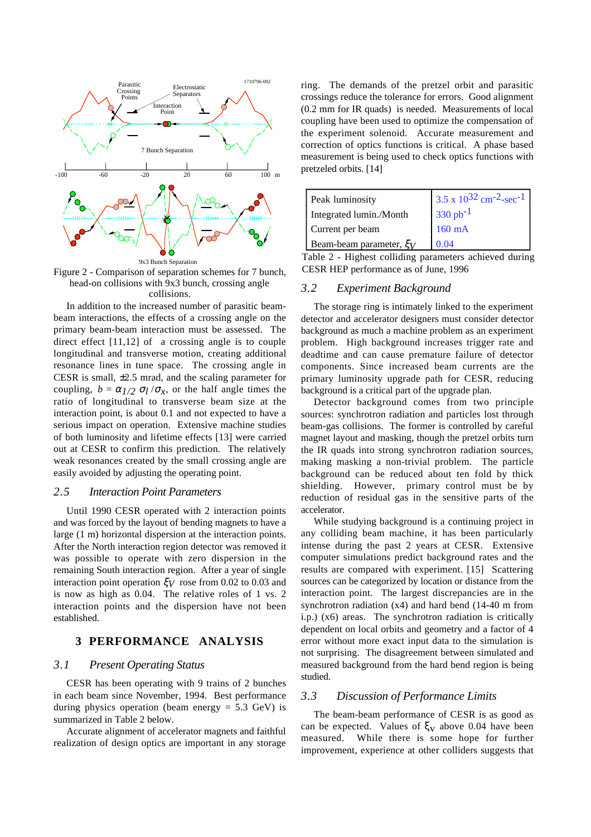

Figure 2 - Comparison of separation schemes for 7 bunch, head-on collisions with 9x3 bunch, crossing angle collisions.

In addition to the increased number of parasitic beambeam interactions, the effects of a crossing angle on the primary beam-beam interaction must be assessed. The direct effect [11,12] of a crossing angle is to couple longitudinal and transverse motion, creating additional resonance lines in tune space. The crossing angle in CESR is small, ±2.5 mrad, and the scaling parameter for coupling,  $b = \alpha_l / 2 \sigma_l / \sigma_x$ , or the half angle times the ratio of longitudinal to transverse beam size at the interaction point, is about 0.1 and not expected to have a serious impact on operation. Extensive machine studies of both luminosity and lifetime effects [13] were carried out at CESR to confirm this prediction. The relatively weak resonances created by the small crossing angle are easily avoided by adjusting the operating point.

#### *2.5 Interaction Point Parameters*

Until 1990 CESR operated with 2 interaction points and was forced by the layout of bending magnets to have a large (1 m) horizontal dispersion at the interaction points. After the North interaction region detector was removed it was possible to operate with zero dispersion in the remaining South interaction region. After a year of single interaction point operation ξ*V* rose from 0.02 to 0.03 and is now as high as 0.04. The relative roles of 1 vs. 2 interaction points and the dispersion have not been established.

## **3 PERFORMANCE ANALYSIS**

#### *3.1 Present Operating Status*

CESR has been operating with 9 trains of 2 bunches in each beam since November, 1994. Best performance during physics operation (beam energy  $= 5.3$  GeV) is summarized in Table 2 below.

Accurate alignment of accelerator magnets and faithful realization of design optics are important in any storage

ring. The demands of the pretzel orbit and parasitic crossings reduce the tolerance for errors. Good alignment (0.2 mm for IR quads) is needed. Measurements of local coupling have been used to optimize the compensation of the experiment solenoid. Accurate measurement and correction of optics functions is critical. A phase based measurement is being used to check optics functions with pretzeled orbits. [14]

| Peak luminosity              | $3.5 \times 10^{32}$ cm <sup>-2</sup> -sec <sup>-1</sup> |
|------------------------------|----------------------------------------------------------|
| Integrated lumin./Month      | $330 pb^{-1}$                                            |
| Current per beam             | $160$ mA                                                 |
| Beam-beam parameter, $\xi_V$ | 0.04                                                     |

Table 2 - Highest colliding parameters achieved during CESR HEP performance as of June, 1996

#### *3.2 Experiment Background*

The storage ring is intimately linked to the experiment detector and accelerator designers must consider detector background as much a machine problem as an experiment problem. High background increases trigger rate and deadtime and can cause premature failure of detector components. Since increased beam currents are the primary luminosity upgrade path for CESR, reducing background is a critical part of the upgrade plan.

Detector background comes from two principle sources: synchrotron radiation and particles lost through beam-gas collisions. The former is controlled by careful magnet layout and masking, though the pretzel orbits turn the IR quads into strong synchrotron radiation sources, making masking a non-trivial problem. The particle background can be reduced about ten fold by thick shielding. However, primary control must be by reduction of residual gas in the sensitive parts of the accelerator.

While studying background is a continuing project in any colliding beam machine, it has been particularly intense during the past 2 years at CESR. Extensive computer simulations predict background rates and the results are compared with experiment. [15] Scattering sources can be categorized by location or distance from the interaction point. The largest discrepancies are in the synchrotron radiation (x4) and hard bend (14-40 m from i.p.) (x6) areas. The synchrotron radiation is critically dependent on local orbits and geometry and a factor of 4 error without more exact input data to the simulation is not surprising. The disagreement between simulated and measured background from the hard bend region is being studied.

### *3.3 Discussion of Performance Limits*

The beam-beam performance of CESR is as good as can be expected. Values of  $\xi_V$  above 0.04 have been measured. While there is some hope for further improvement, experience at other colliders suggests that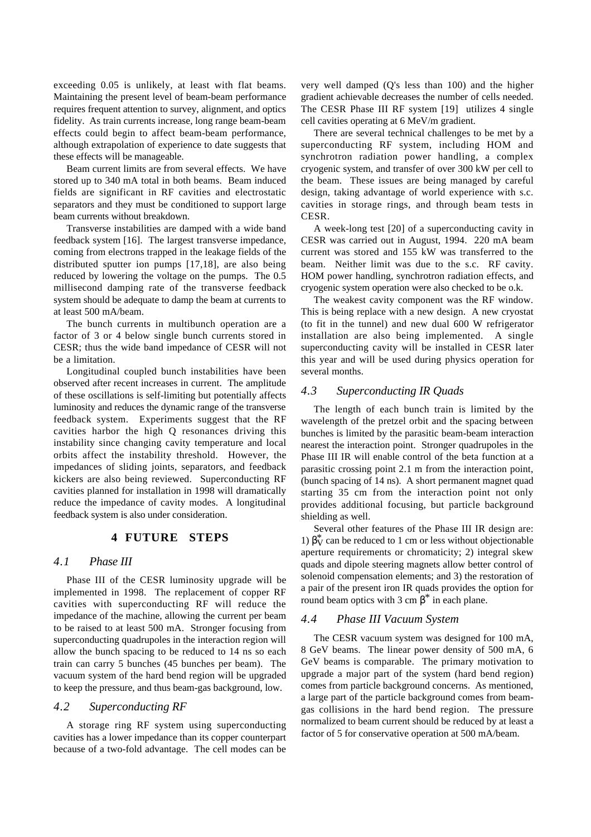exceeding 0.05 is unlikely, at least with flat beams. Maintaining the present level of beam-beam performance requires frequent attention to survey, alignment, and optics fidelity. As train currents increase, long range beam-beam effects could begin to affect beam-beam performance, although extrapolation of experience to date suggests that these effects will be manageable.

Beam current limits are from several effects. We have stored up to 340 mA total in both beams. Beam induced fields are significant in RF cavities and electrostatic separators and they must be conditioned to support large beam currents without breakdown.

Transverse instabilities are damped with a wide band feedback system [16]. The largest transverse impedance, coming from electrons trapped in the leakage fields of the distributed sputter ion pumps [17,18], are also being reduced by lowering the voltage on the pumps. The 0.5 millisecond damping rate of the transverse feedback system should be adequate to damp the beam at currents to at least 500 mA/beam.

The bunch currents in multibunch operation are a factor of 3 or 4 below single bunch currents stored in CESR; thus the wide band impedance of CESR will not be a limitation.

Longitudinal coupled bunch instabilities have been observed after recent increases in current. The amplitude of these oscillations is self-limiting but potentially affects luminosity and reduces the dynamic range of the transverse feedback system. Experiments suggest that the RF cavities harbor the high Q resonances driving this instability since changing cavity temperature and local orbits affect the instability threshold. However, the impedances of sliding joints, separators, and feedback kickers are also being reviewed. Superconducting RF cavities planned for installation in 1998 will dramatically reduce the impedance of cavity modes. A longitudinal feedback system is also under consideration.

## **4 FUTURE STEPS**

## *4.1 Phase III*

Phase III of the CESR luminosity upgrade will be implemented in 1998. The replacement of copper RF cavities with superconducting RF will reduce the impedance of the machine, allowing the current per beam to be raised to at least 500 mA. Stronger focusing from superconducting quadrupoles in the interaction region will allow the bunch spacing to be reduced to 14 ns so each train can carry 5 bunches (45 bunches per beam). The vacuum system of the hard bend region will be upgraded to keep the pressure, and thus beam-gas background, low.

### *4.2 Superconducting RF*

A storage ring RF system using superconducting cavities has a lower impedance than its copper counterpart because of a two-fold advantage. The cell modes can be

very well damped (Q's less than 100) and the higher gradient achievable decreases the number of cells needed. The CESR Phase III RF system [19] utilizes 4 single cell cavities operating at 6 MeV/m gradient.

There are several technical challenges to be met by a superconducting RF system, including HOM and synchrotron radiation power handling, a complex cryogenic system, and transfer of over 300 kW per cell to the beam. These issues are being managed by careful design, taking advantage of world experience with s.c. cavities in storage rings, and through beam tests in CESR.

A week-long test [20] of a superconducting cavity in CESR was carried out in August, 1994. 220 mA beam current was stored and 155 kW was transferred to the beam. Neither limit was due to the s.c. RF cavity. HOM power handling, synchrotron radiation effects, and cryogenic system operation were also checked to be o.k.

The weakest cavity component was the RF window. This is being replace with a new design. A new cryostat (to fit in the tunnel) and new dual 600 W refrigerator installation are also being implemented. A single superconducting cavity will be installed in CESR later this year and will be used during physics operation for several months.

#### *4.3 Superconducting IR Quads*

The length of each bunch train is limited by the wavelength of the pretzel orbit and the spacing between bunches is limited by the parasitic beam-beam interaction nearest the interaction point. Stronger quadrupoles in the Phase III IR will enable control of the beta function at a parasitic crossing point 2.1 m from the interaction point, (bunch spacing of 14 ns). A short permanent magnet quad starting 35 cm from the interaction point not only provides additional focusing, but particle background shielding as well.

Several other features of the Phase III IR design are: 1)  $\beta \check{v}$  can be reduced to 1 cm or less without objectionable aperture requirements or chromaticity; 2) integral skew quads and dipole steering magnets allow better control of solenoid compensation elements; and 3) the restoration of a pair of the present iron IR quads provides the option for round beam optics with 3 cm  $β^*$  in each plane.

## *4.4 Phase III Vacuum System*

The CESR vacuum system was designed for 100 mA, 8 GeV beams. The linear power density of 500 mA, 6 GeV beams is comparable. The primary motivation to upgrade a major part of the system (hard bend region) comes from particle background concerns. As mentioned, a large part of the particle background comes from beamgas collisions in the hard bend region. The pressure normalized to beam current should be reduced by at least a factor of 5 for conservative operation at 500 mA/beam.